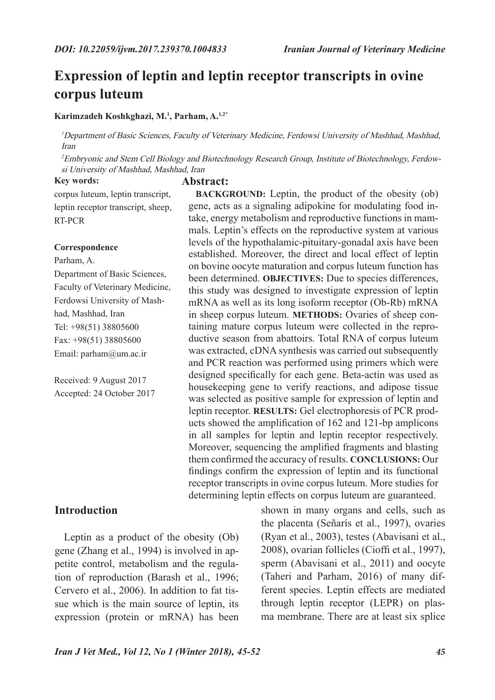# **Expression of leptin and leptin receptor transcripts in ovine corpus luteum**

#### **Karimzadeh Koshkghazi, M.1 , Parham, A.1,2\***

<sup>1</sup>Department of Basic Sciences, Faculty of Veterinary Medicine, Ferdowsi University of Mashhad, Mashhad, Iran

2Embryonic and Stem Cell Biology and Biotechnology Research Group, Institute of Biotechnology, Ferdowsi University of Mashhad, Mashhad, Iran

### **Key words:**

### **Abstract:**

corpus luteum, leptin transcript, leptin receptor transcript, sheep, RT-PCR

#### **Correspondence**

Parham, A.

Department of Basic Sciences, Faculty of Veterinary Medicine, Ferdowsi University of Mashhad, Mashhad, Iran Tel: +98(51) 38805600 Fax: +98(51) 38805600 Email: parham@um.ac.ir

Received: 9 August 2017 Accepted: 24 October 2017

**BACKGROUND:** Leptin, the product of the obesity (ob) gene, acts as a signaling adipokine for modulating food intake, energy metabolism and reproductive functions in mammals. Leptin's effects on the reproductive system at various levels of the hypothalamic-pituitary-gonadal axis have been established. Moreover, the direct and local effect of leptin on bovine oocyte maturation and corpus luteum function has been determined. **OBJECTIVES:** Due to species differences, this study was designed to investigate expression of leptin mRNA as well as its long isoform receptor (Ob-Rb) mRNA in sheep corpus luteum. **METHODS:** Ovaries of sheep containing mature corpus luteum were collected in the reproductive season from abattoirs. Total RNA of corpus luteum was extracted, cDNA synthesis was carried out subsequently and PCR reaction was performed using primers which were designed specifically for each gene. Beta-actin was used as housekeeping gene to verify reactions, and adipose tissue was selected as positive sample for expression of leptin and leptin receptor. **RESULTS:** Gel electrophoresis of PCR products showed the amplification of 162 and 121-bp amplicons in all samples for leptin and leptin receptor respectively. Moreover, sequencing the amplified fragments and blasting them confirmed the accuracy of results. **CONCLUSIONS:** Our findings confirm the expression of leptin and its functional receptor transcripts in ovine corpus luteum. More studies for determining leptin effects on corpus luteum are guaranteed.

## **Introduction**

Leptin as a product of the obesity (Ob) gene (Zhang et al., 1994) is involved in appetite control, metabolism and the regulation of reproduction (Barash et al., 1996; Cervero et al., 2006). In addition to fat tissue which is the main source of leptin, its expression (protein or mRNA) has been

shown in many organs and cells, such as the placenta (Señarís et al., 1997), ovaries (Ryan et al., 2003), testes (Abavisani et al., 2008), ovarian follicles (Cioffi et al., 1997), sperm (Abavisani et al., 2011) and oocyte (Taheri and Parham, 2016) of many different species. Leptin effects are mediated through leptin receptor (LEPR) on plasma membrane. There are at least six splice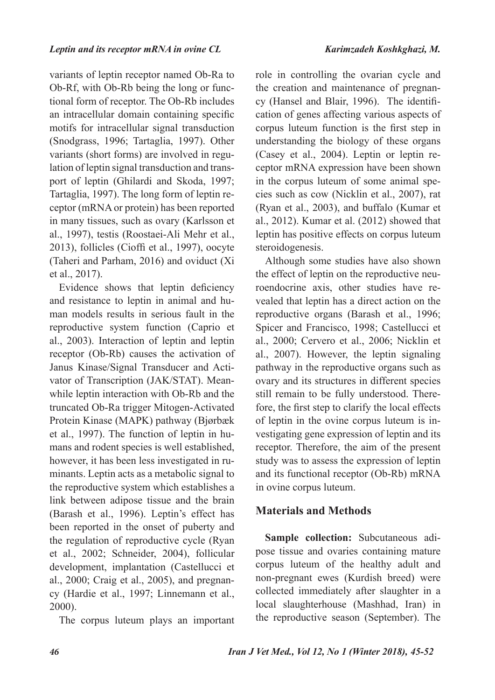variants of leptin receptor named Ob-Ra to Ob-Rf, with Ob-Rb being the long or functional form of receptor. The Ob-Rb includes an intracellular domain containing specific motifs for intracellular signal transduction (Snodgrass, 1996; Tartaglia, 1997). Other variants (short forms) are involved in regulation of leptin signal transduction and transport of leptin (Ghilardi and Skoda, 1997; Tartaglia, 1997). The long form of leptin receptor (mRNA or protein) has been reported in many tissues, such as ovary (Karlsson et al., 1997), testis (Roostaei-Ali Mehr et al., 2013), follicles (Cioffi et al., 1997), oocyte (Taheri and Parham, 2016) and oviduct (Xi et al., 2017).

Evidence shows that leptin deficiency and resistance to leptin in animal and human models results in serious fault in the reproductive system function (Caprio et al., 2003). Interaction of leptin and leptin receptor (Ob-Rb) causes the activation of Janus Kinase/Signal Transducer and Activator of Transcription (JAK/STAT). Meanwhile leptin interaction with Ob-Rb and the truncated Ob-Ra trigger Mitogen-Activated Protein Kinase (MAPK) pathway (Bjørbæk et al., 1997). The function of leptin in humans and rodent species is well established, however, it has been less investigated in ruminants. Leptin acts as a metabolic signal to the reproductive system which establishes a link between adipose tissue and the brain (Barash et al., 1996). Leptin's effect has been reported in the onset of puberty and the regulation of reproductive cycle (Ryan et al., 2002; Schneider, 2004), follicular development, implantation (Castellucci et al., 2000; Craig et al., 2005), and pregnancy (Hardie et al., 1997; Linnemann et al., 2000).

The corpus luteum plays an important

role in controlling the ovarian cycle and the creation and maintenance of pregnancy (Hansel and Blair, 1996). The identification of genes affecting various aspects of corpus luteum function is the first step in understanding the biology of these organs (Casey et al., 2004). Leptin or leptin receptor mRNA expression have been shown in the corpus luteum of some animal species such as cow (Nicklin et al., 2007), rat (Ryan et al., 2003), and buffalo (Kumar et al., 2012). Kumar et al. (2012) showed that leptin has positive effects on corpus luteum steroidogenesis.

Although some studies have also shown the effect of leptin on the reproductive neuroendocrine axis, other studies have revealed that leptin has a direct action on the reproductive organs (Barash et al., 1996; Spicer and Francisco, 1998; Castellucci et al., 2000; Cervero et al., 2006; Nicklin et al., 2007). However, the leptin signaling pathway in the reproductive organs such as ovary and its structures in different species still remain to be fully understood. Therefore, the first step to clarify the local effects of leptin in the ovine corpus luteum is investigating gene expression of leptin and its receptor. Therefore, the aim of the present study was to assess the expression of leptin and its functional receptor (Ob-Rb) mRNA in ovine corpus luteum.

# **Materials and Methods**

**Sample collection:** Subcutaneous adipose tissue and ovaries containing mature corpus luteum of the healthy adult and non-pregnant ewes (Kurdish breed) were collected immediately after slaughter in a local slaughterhouse (Mashhad, Iran) in the reproductive season (September). The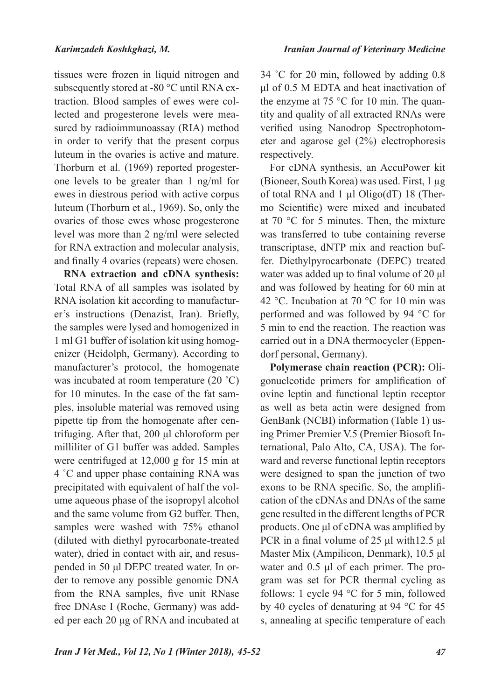tissues were frozen in liquid nitrogen and subsequently stored at -80 °C until RNA extraction. Blood samples of ewes were collected and progesterone levels were measured by radioimmunoassay (RIA) method in order to verify that the present corpus luteum in the ovaries is active and mature. Thorburn et al. (1969) reported progesterone levels to be greater than 1 ng/ml for ewes in diestrous period with active corpus luteum (Thorburn et al., 1969). So, only the ovaries of those ewes whose progesterone level was more than 2 ng/ml were selected for RNA extraction and molecular analysis, and finally 4 ovaries (repeats) were chosen.

**RNA extraction and cDNA synthesis:**  Total RNA of all samples was isolated by RNA isolation kit according to manufacturer's instructions (Denazist, Iran). Briefly, the samples were lysed and homogenized in 1 ml G1 buffer of isolation kit using homogenizer (Heidolph, Germany). According to manufacturer's protocol, the homogenate was incubated at room temperature (20 ˚C) for 10 minutes. In the case of the fat samples, insoluble material was removed using pipette tip from the homogenate after centrifuging. After that, 200 μl chloroform per milliliter of G1 buffer was added. Samples were centrifuged at 12,000 g for 15 min at 4 ˚C and upper phase containing RNA was precipitated with equivalent of half the volume aqueous phase of the isopropyl alcohol and the same volume from G2 buffer. Then, samples were washed with 75% ethanol (diluted with diethyl pyrocarbonate-treated water), dried in contact with air, and resuspended in 50 μl DEPC treated water. In order to remove any possible genomic DNA from the RNA samples, five unit RNase free DNAse I (Roche, Germany) was added per each 20 μg of RNA and incubated at

34 ˚C for 20 min, followed by adding 0.8 μl of 0.5 M EDTA and heat inactivation of the enzyme at 75 °C for 10 min. The quantity and quality of all extracted RNAs were verified using Nanodrop Spectrophotometer and agarose gel (2%) electrophoresis respectively.

For cDNA synthesis, an AccuPower kit (Bioneer, South Korea) was used. First, 1 µg of total RNA and 1  $\mu$ l Oligo(dT) 18 (Thermo Scientific) were mixed and incubated at 70 °C for 5 minutes. Then, the mixture was transferred to tube containing reverse transcriptase, dNTP mix and reaction buffer. Diethylpyrocarbonate (DEPC) treated water was added up to final volume of 20 μl and was followed by heating for 60 min at 42 °C. Incubation at 70 °C for 10 min was performed and was followed by 94 °C for 5 min to end the reaction. The reaction was carried out in a DNA thermocycler (Eppendorf personal, Germany).

**Polymerase chain reaction (PCR):** Oligonucleotide primers for amplification of ovine leptin and functional leptin receptor as well as beta actin were designed from GenBank (NCBI) information (Table 1) using Primer Premier V.5 (Premier Biosoft International, Palo Alto, CA, USA). The forward and reverse functional leptin receptors were designed to span the junction of two exons to be RNA specific. So, the amplification of the cDNAs and DNAs of the same gene resulted in the different lengths of PCR products. One μl of cDNA was amplified by PCR in a final volume of 25 μl with12.5 μl Master Mix (Ampilicon, Denmark), 10.5 μl water and 0.5 μl of each primer. The program was set for PCR thermal cycling as follows: 1 cycle 94 °C for 5 min, followed by 40 cycles of denaturing at 94 °C for 45 s, annealing at specific temperature of each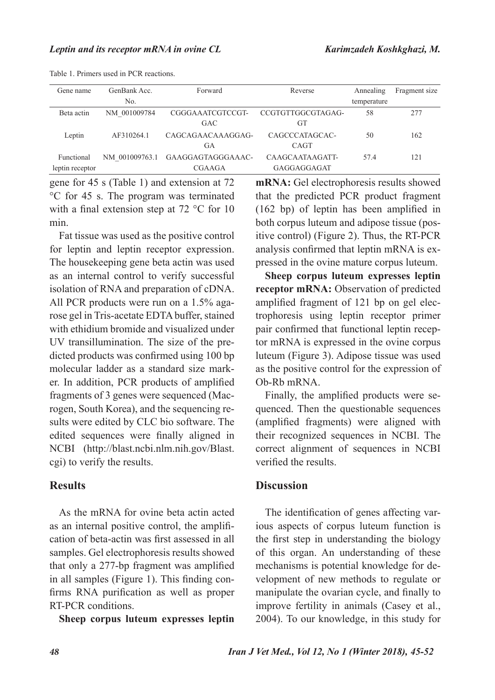| Gene name       | GenBank Acc.   | Forward           | Reverse           | Annealing   | Fragment size |
|-----------------|----------------|-------------------|-------------------|-------------|---------------|
|                 | No.            |                   |                   | temperature |               |
| Beta actin      | NM 001009784   | CGGGAAATCGTCCGT-  | CCGTGTTGGCGTAGAG- | 58          | 277           |
|                 |                | <b>GAC</b>        | GТ                |             |               |
| Leptin          | AF310264.1     | CAGCAGAACAAAGGAG- | CAGCCCATAGCAC-    | 50          | 162           |
|                 |                | GA                | CAGT              |             |               |
| Functional      | NM 001009763.1 | GAAGGAGTAGGGAAAC- | CAAGCAATAAGATT-   | 57.4        | 121           |
| leptin receptor |                | <b>CGAAGA</b>     | GAGGAGGAGAT       |             |               |

Table 1. Primers used in PCR reactions.

gene for 45 s (Table 1) and extension at 72 °C for 45 s. The program was terminated with a final extension step at 72 °C for 10 min.

Fat tissue was used as the positive control for leptin and leptin receptor expression. The housekeeping gene beta actin was used as an internal control to verify successful isolation of RNA and preparation of cDNA. All PCR products were run on a 1.5% agarose gel in Tris-acetate EDTA buffer, stained with ethidium bromide and visualized under UV transillumination. The size of the predicted products was confirmed using 100 bp molecular ladder as a standard size marker. In addition, PCR products of amplified fragments of 3 genes were sequenced (Macrogen, South Korea), and the sequencing results were edited by CLC bio software. The edited sequences were finally aligned in NCBI (http://blast.ncbi.nlm.nih.gov/Blast. cgi) to verify the results.

### **Results**

As the mRNA for ovine beta actin acted as an internal positive control, the amplification of beta-actin was first assessed in all samples. Gel electrophoresis results showed that only a 277-bp fragment was amplified in all samples (Figure 1). This finding confirms RNA purification as well as proper RT-PCR conditions.

**Sheep corpus luteum expresses leptin** 

**mRNA:** Gel electrophoresis results showed that the predicted PCR product fragment (162 bp) of leptin has been amplified in both corpus luteum and adipose tissue (positive control) (Figure 2). Thus, the RT-PCR analysis confirmed that leptin mRNA is expressed in the ovine mature corpus luteum.

**Sheep corpus luteum expresses leptin receptor mRNA:** Observation of predicted amplified fragment of 121 bp on gel electrophoresis using leptin receptor primer pair confirmed that functional leptin receptor mRNA is expressed in the ovine corpus luteum (Figure 3). Adipose tissue was used as the positive control for the expression of Ob-Rb mRNA.

Finally, the amplified products were sequenced. Then the questionable sequences (amplified fragments) were aligned with their recognized sequences in NCBI. The correct alignment of sequences in NCBI verified the results.

### **Discussion**

The identification of genes affecting various aspects of corpus luteum function is the first step in understanding the biology of this organ. An understanding of these mechanisms is potential knowledge for development of new methods to regulate or manipulate the ovarian cycle, and finally to improve fertility in animals (Casey et al., 2004). To our knowledge, in this study for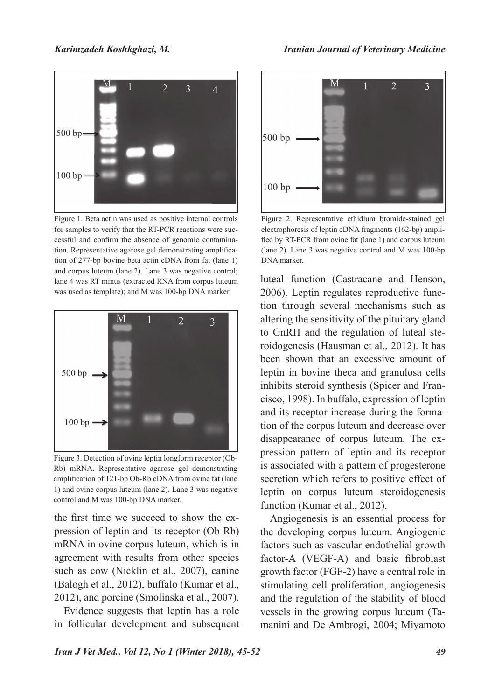

Figure 1. Beta actin was used as positive internal controls for samples to verify that the RT-PCR reactions were successful and confirm the absence of genomic contamination. Representative agarose gel demonstrating amplification of 277-bp bovine beta actin cDNA from fat (lane 1) and corpus luteum (lane 2). Lane 3 was negative control; lane 4 was RT minus (extracted RNA from corpus luteum was used as template); and M was 100-bp DNA marker.



Figure 3. Detection of ovine leptin longform receptor (Ob-Rb) mRNA. Representative agarose gel demonstrating amplification of 121-bp Ob-Rb cDNA from ovine fat (lane 1) and ovine corpus luteum (lane 2). Lane 3 was negative control and M was 100-bp DNA marker.

the first time we succeed to show the expression of leptin and its receptor (Ob-Rb) mRNA in ovine corpus luteum, which is in agreement with results from other species such as cow (Nicklin et al., 2007), canine (Balogh et al., 2012), buffalo (Kumar et al., 2012), and porcine (Smolinska et al., 2007).

Evidence suggests that leptin has a role in follicular development and subsequent



Figure 2. Representative ethidium bromide-stained gel electrophoresis of leptin cDNA fragments (162-bp) amplified by RT-PCR from ovine fat (lane 1) and corpus luteum (lane 2). Lane 3 was negative control and M was 100-bp DNA marker.

luteal function (Castracane and Henson, 2006). Leptin regulates reproductive function through several mechanisms such as altering the sensitivity of the pituitary gland to GnRH and the regulation of luteal steroidogenesis (Hausman et al., 2012). It has been shown that an excessive amount of leptin in bovine theca and granulosa cells inhibits steroid synthesis (Spicer and Francisco, 1998). In buffalo, expression of leptin and its receptor increase during the formation of the corpus luteum and decrease over disappearance of corpus luteum. The expression pattern of leptin and its receptor is associated with a pattern of progesterone secretion which refers to positive effect of leptin on corpus luteum steroidogenesis function (Kumar et al., 2012).

Angiogenesis is an essential process for the developing corpus luteum. Angiogenic factors such as vascular endothelial growth factor-A (VEGF-A) and basic fibroblast growth factor (FGF-2) have a central role in stimulating cell proliferation, angiogenesis and the regulation of the stability of blood vessels in the growing corpus luteum (Tamanini and De Ambrogi, 2004; Miyamoto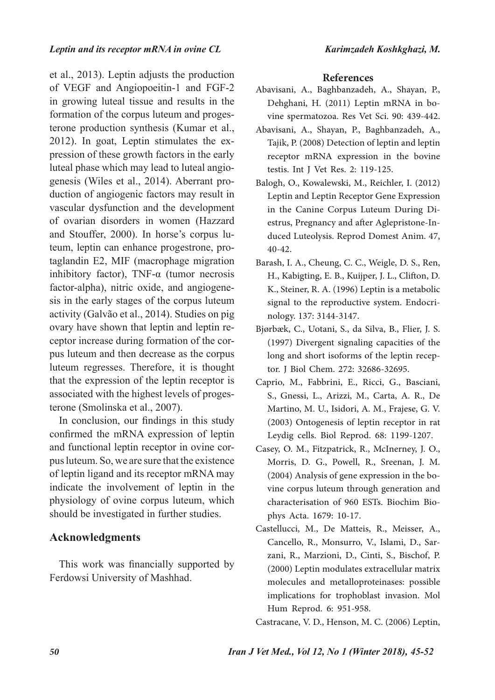et al., 2013). Leptin adjusts the production of VEGF and Angiopoeitin-1 and FGF-2 in growing luteal tissue and results in the formation of the corpus luteum and progesterone production synthesis (Kumar et al., 2012). In goat, Leptin stimulates the expression of these growth factors in the early luteal phase which may lead to luteal angiogenesis (Wiles et al., 2014). Aberrant production of angiogenic factors may result in vascular dysfunction and the development of ovarian disorders in women (Hazzard and Stouffer, 2000). In horse's corpus luteum, leptin can enhance progestrone, protaglandin E2, MIF (macrophage migration inhibitory factor), TNF- $\alpha$  (tumor necrosis factor-alpha), nitric oxide, and angiogenesis in the early stages of the corpus luteum activity (Galvão et al., 2014). Studies on pig ovary have shown that leptin and leptin receptor increase during formation of the corpus luteum and then decrease as the corpus luteum regresses. Therefore, it is thought that the expression of the leptin receptor is associated with the highest levels of progesterone (Smolinska et al., 2007).

In conclusion, our findings in this study confirmed the mRNA expression of leptin and functional leptin receptor in ovine corpus luteum. So, we are sure that the existence of leptin ligand and its receptor mRNA may indicate the involvement of leptin in the physiology of ovine corpus luteum, which should be investigated in further studies.

# **Acknowledgments**

This work was financially supported by Ferdowsi University of Mashhad.

# **References**

- Abavisani, A., Baghbanzadeh, A., Shayan, P., Dehghani, H. (2011) Leptin mRNA in bovine spermatozoa. Res Vet Sci. 90: 439-442.
- Abavisani, A., Shayan, P., Baghbanzadeh, A., Tajik, P. (2008) Detection of leptin and leptin receptor mRNA expression in the bovine testis. Int J Vet Res. 2: 119-125.
- Balogh, O., Kowalewski, M., Reichler, I. (2012) Leptin and Leptin Receptor Gene Expression in the Canine Corpus Luteum During Diestrus, Pregnancy and after Aglepristone‐Induced Luteolysis. Reprod Domest Anim. 47, 40-42.
- Barash, I. A., Cheung, C. C., Weigle, D. S., Ren, H., Kabigting, E. B., Kuijper, J. L., Clifton, D. K., Steiner, R. A. (1996) Leptin is a metabolic signal to the reproductive system. Endocrinology. 137: 3144-3147.
- Bjørbæk, C., Uotani, S., da Silva, B., Flier, J. S. (1997) Divergent signaling capacities of the long and short isoforms of the leptin receptor. J Biol Chem. 272: 32686-32695.
- Caprio, M., Fabbrini, E., Ricci, G., Basciani, S., Gnessi, L., Arizzi, M., Carta, A. R., De Martino, M. U., Isidori, A. M., Frajese, G. V. (2003) Ontogenesis of leptin receptor in rat Leydig cells. Biol Reprod. 68: 1199-1207.
- Casey, O. M., Fitzpatrick, R., McInerney, J. O., Morris, D. G., Powell, R., Sreenan, J. M. (2004) Analysis of gene expression in the bovine corpus luteum through generation and characterisation of 960 ESTs. Biochim Biophys Acta. 1679: 10-17.
- Castellucci, M., De Matteis, R., Meisser, A., Cancello, R., Monsurro, V., Islami, D., Sarzani, R., Marzioni, D., Cinti, S., Bischof, P. (2000) Leptin modulates extracellular matrix molecules and metalloproteinases: possible implications for trophoblast invasion. Mol Hum Reprod. 6: 951-958.

Castracane, V. D., Henson, M. C. (2006) Leptin,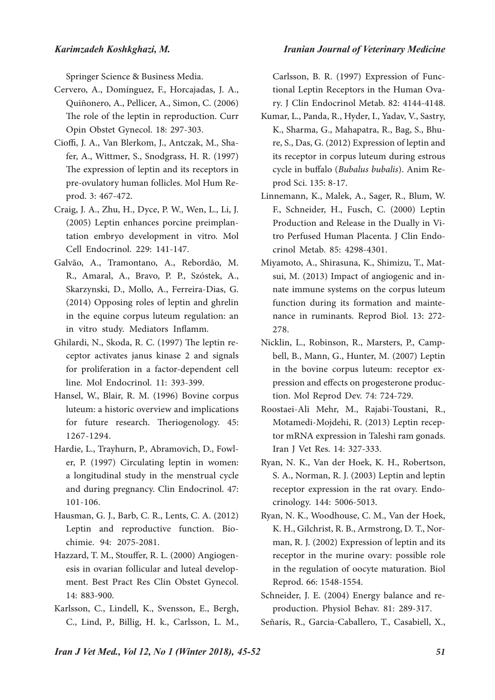Springer Science & Business Media.

- Cervero, A., Domínguez, F., Horcajadas, J. A., Quiñonero, A., Pellicer, A., Simon, C. (2006) The role of the leptin in reproduction. Curr Opin Obstet Gynecol. 18: 297-303.
- Cioffi, J. A., Van Blerkom, J., Antczak, M., Shafer, A., Wittmer, S., Snodgrass, H. R. (1997) The expression of leptin and its receptors in pre-ovulatory human follicles. Mol Hum Reprod. 3: 467-472.
- Craig, J. A., Zhu, H., Dyce, P. W., Wen, L., Li, J. (2005) Leptin enhances porcine preimplantation embryo development in vitro. Mol Cell Endocrinol. 229: 141-147.
- Galvão, A., Tramontano, A., Rebordão, M. R., Amaral, A., Bravo, P. P., Szóstek, A., Skarzynski, D., Mollo, A., Ferreira-Dias, G. (2014) Opposing roles of leptin and ghrelin in the equine corpus luteum regulation: an in vitro study. Mediators Inflamm.
- Ghilardi, N., Skoda, R. C. (1997) The leptin receptor activates janus kinase 2 and signals for proliferation in a factor-dependent cell line. Mol Endocrinol. 11: 393-399.
- Hansel, W., Blair, R. M. (1996) Bovine corpus luteum: a historic overview and implications for future research. Theriogenology. 45: 1267-1294.
- Hardie, L., Trayhurn, P., Abramovich, D., Fowler, P. (1997) Circulating leptin in women: a longitudinal study in the menstrual cycle and during pregnancy. Clin Endocrinol. 47: 101-106.
- Hausman, G. J., Barb, C. R., Lents, C. A. (2012) Leptin and reproductive function. Biochimie. 94: 2075-2081.
- Hazzard, T. M., Stouffer, R. L. (2000) Angiogenesis in ovarian follicular and luteal development. Best Pract Res Clin Obstet Gynecol. 14: 883-900.
- Karlsson, C., Lindell, K., Svensson, E., Bergh, C., Lind, P., Billig, H. k., Carlsson, L. M.,

Carlsson, B. R. (1997) Expression of Functional Leptin Receptors in the Human Ovary. J Clin Endocrinol Metab. 82: 4144-4148.

- Kumar, L., Panda, R., Hyder, I., Yadav, V., Sastry, K., Sharma, G., Mahapatra, R., Bag, S., Bhure, S., Das, G. (2012) Expression of leptin and its receptor in corpus luteum during estrous cycle in buffalo (*Bubalus bubalis*). Anim Reprod Sci. 135: 8-17.
- Linnemann, K., Malek, A., Sager, R., Blum, W. F., Schneider, H., Fusch, C. (2000) Leptin Production and Release in the Dually in Vitro Perfused Human Placenta. J Clin Endocrinol Metab. 85: 4298-4301.
- Miyamoto, A., Shirasuna, K., Shimizu, T., Matsui, M. (2013) Impact of angiogenic and innate immune systems on the corpus luteum function during its formation and maintenance in ruminants. Reprod Biol. 13: 272- 278.
- Nicklin, L., Robinson, R., Marsters, P., Campbell, B., Mann, G., Hunter, M. (2007) Leptin in the bovine corpus luteum: receptor expression and effects on progesterone production. Mol Reprod Dev. 74: 724-729.
- Roostaei-Ali Mehr, M., Rajabi-Toustani, R., Motamedi-Mojdehi, R. (2013) Leptin receptor mRNA expression in Taleshi ram gonads. Iran J Vet Res. 14: 327-333.
- Ryan, N. K., Van der Hoek, K. H., Robertson, S. A., Norman, R. J. (2003) Leptin and leptin receptor expression in the rat ovary. Endocrinology. 144: 5006-5013.
- Ryan, N. K., Woodhouse, C. M., Van der Hoek, K. H., Gilchrist, R. B., Armstrong, D. T., Norman, R. J. (2002) Expression of leptin and its receptor in the murine ovary: possible role in the regulation of oocyte maturation. Biol Reprod. 66: 1548-1554.
- Schneider, J. E. (2004) Energy balance and reproduction. Physiol Behav. 81: 289-317.
- Señarís, R., Garcia-Caballero, T., Casabiell, X.,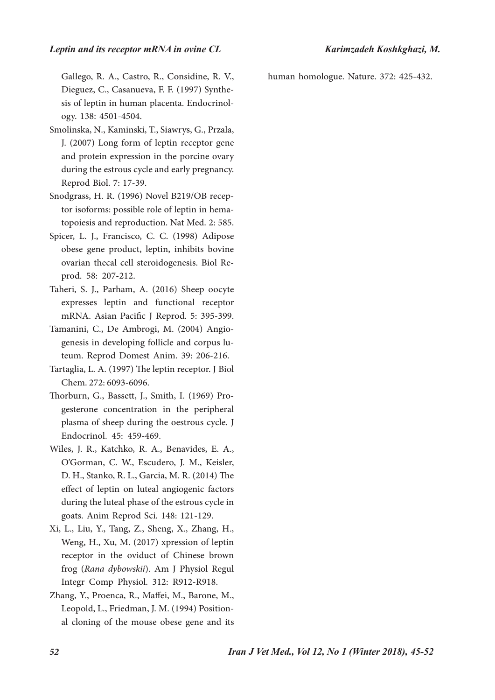Gallego, R. A., Castro, R., Considine, R. V., Dieguez, C., Casanueva, F. F. (1997) Synthesis of leptin in human placenta. Endocrinology. 138: 4501-4504.

- Smolinska, N., Kaminski, T., Siawrys, G., Przala, J. (2007) Long form of leptin receptor gene and protein expression in the porcine ovary during the estrous cycle and early pregnancy. Reprod Biol. 7: 17-39.
- Snodgrass, H. R. (1996) Novel B219/OB receptor isoforms: possible role of leptin in hematopoiesis and reproduction. Nat Med. 2: 585.
- Spicer, L. J., Francisco, C. C. (1998) Adipose obese gene product, leptin, inhibits bovine ovarian thecal cell steroidogenesis. Biol Reprod. 58: 207-212.
- Taheri, S. J., Parham, A. (2016) Sheep oocyte expresses leptin and functional receptor mRNA. Asian Pacific J Reprod. 5: 395-399.
- Tamanini, C., De Ambrogi, M. (2004) Angiogenesis in developing follicle and corpus luteum. Reprod Domest Anim. 39: 206-216.
- Tartaglia, L. A. (1997) The leptin receptor. J Biol Chem. 272: 6093-6096.
- Thorburn, G., Bassett, J., Smith, I. (1969) Progesterone concentration in the peripheral plasma of sheep during the oestrous cycle. J Endocrinol. 45: 459-469.
- Wiles, J. R., Katchko, R. A., Benavides, E. A., O'Gorman, C. W., Escudero, J. M., Keisler, D. H., Stanko, R. L., Garcia, M. R. (2014) The effect of leptin on luteal angiogenic factors during the luteal phase of the estrous cycle in goats. Anim Reprod Sci. 148: 121-129.
- Xi, L., Liu, Y., Tang, Z., Sheng, X., Zhang, H., Weng, H., Xu, M. (2017) xpression of leptin receptor in the oviduct of Chinese brown frog (*Rana dybowskii*). Am J Physiol Regul Integr Comp Physiol. 312: R912-R918.
- Zhang, Y., Proenca, R., Maffei, M., Barone, M., Leopold, L., Friedman, J. M. (1994) Positional cloning of the mouse obese gene and its

human homologue. Nature. 372: 425-432.